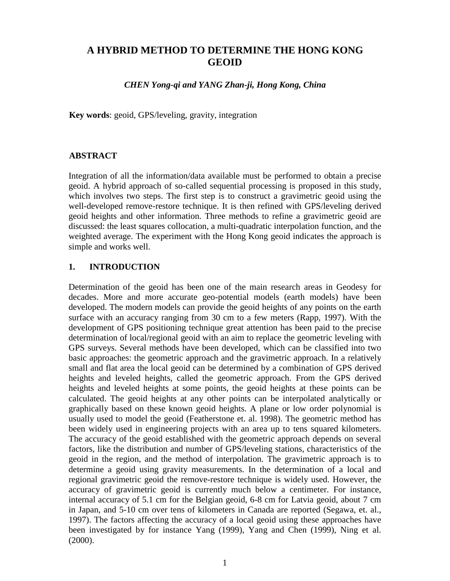# **A HYBRID METHOD TO DETERMINE THE HONG KONG GEOID**

*CHEN Yong-qi and YANG Zhan-ji, Hong Kong, China*

**Key words**: geoid, GPS/leveling, gravity, integration

## **ABSTRACT**

Integration of all the information/data available must be performed to obtain a precise geoid. A hybrid approach of so-called sequential processing is proposed in this study, which involves two steps. The first step is to construct a gravimetric geoid using the well-developed remove-restore technique. It is then refined with GPS/leveling derived geoid heights and other information. Three methods to refine a gravimetric geoid are discussed: the least squares collocation, a multi-quadratic interpolation function, and the weighted average. The experiment with the Hong Kong geoid indicates the approach is simple and works well.

## **1. INTRODUCTION**

Determination of the geoid has been one of the main research areas in Geodesy for decades. More and more accurate geo-potential models (earth models) have been developed. The modern models can provide the geoid heights of any points on the earth surface with an accuracy ranging from 30 cm to a few meters (Rapp, 1997). With the development of GPS positioning technique great attention has been paid to the precise determination of local/regional geoid with an aim to replace the geometric leveling with GPS surveys. Several methods have been developed, which can be classified into two basic approaches: the geometric approach and the gravimetric approach. In a relatively small and flat area the local geoid can be determined by a combination of GPS derived heights and leveled heights, called the geometric approach. From the GPS derived heights and leveled heights at some points, the geoid heights at these points can be calculated. The geoid heights at any other points can be interpolated analytically or graphically based on these known geoid heights. A plane or low order polynomial is usually used to model the geoid (Featherstone et. al. 1998). The geometric method has been widely used in engineering projects with an area up to tens squared kilometers. The accuracy of the geoid established with the geometric approach depends on several factors, like the distribution and number of GPS/leveling stations, characteristics of the geoid in the region, and the method of interpolation. The gravimetric approach is to determine a geoid using gravity measurements. In the determination of a local and regional gravimetric geoid the remove-restore technique is widely used. However, the accuracy of gravimetric geoid is currently much below a centimeter. For instance, internal accuracy of 5.1 cm for the Belgian geoid, 6-8 cm for Latvia geoid, about 7 cm in Japan, and 5-10 cm over tens of kilometers in Canada are reported (Segawa, et. al., 1997). The factors affecting the accuracy of a local geoid using these approaches have been investigated by for instance Yang (1999), Yang and Chen (1999), Ning et al. (2000).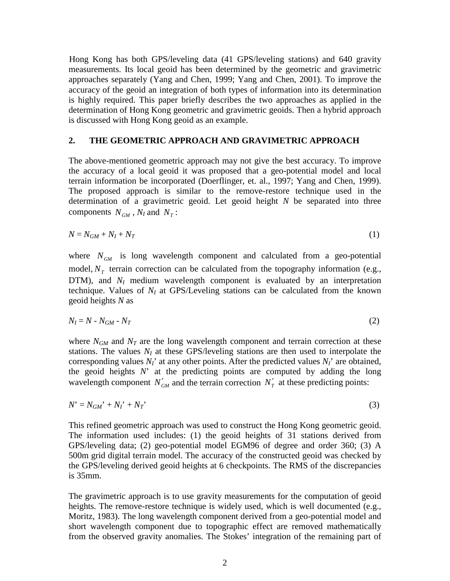Hong Kong has both GPS/leveling data (41 GPS/leveling stations) and 640 gravity measurements. Its local geoid has been determined by the geometric and gravimetric approaches separately (Yang and Chen, 1999; Yang and Chen, 2001). To improve the accuracy of the geoid an integration of both types of information into its determination is highly required. This paper briefly describes the two approaches as applied in the determination of Hong Kong geometric and gravimetric geoids. Then a hybrid approach is discussed with Hong Kong geoid as an example.

### **2. THE GEOMETRIC APPROACH AND GRAVIMETRIC APPROACH**

The above-mentioned geometric approach may not give the best accuracy. To improve the accuracy of a local geoid it was proposed that a geo-potential model and local terrain information be incorporated (Doerflinger, et. al., 1997; Yang and Chen, 1999). The proposed approach is similar to the remove-restore technique used in the determination of a gravimetric geoid. Let geoid height *N* be separated into three components  $N_{GM}$ ,  $N_I$  and  $N_T$ :

$$
N = N_{GM} + N_I + N_T \tag{1}
$$

where  $N_{GM}$  is long wavelength component and calculated from a geo-potential model,  $N_T$  terrain correction can be calculated from the topography information (e.g., DTM), and  $N_I$  medium wavelength component is evaluated by an interpretation technique. Values of  $N_I$  at GPS/Leveling stations can be calculated from the known geoid heights *N* as

$$
N_I = N - N_{GM} - N_T \tag{2}
$$

where  $N_{GM}$  and  $N_T$  are the long wavelength component and terrain correction at these stations. The values  $N_I$  at these GPS/leveling stations are then used to interpolate the corresponding values  $N_I$ <sup>'</sup> at any other points. After the predicted values  $N_I$ <sup>'</sup> are obtained, the geoid heights  $N'$  at the predicting points are computed by adding the long wavelength component  $N'_{GM}$  and the terrain correction  $N'_T$  at these predicting points:

$$
N' = N_{GM'} + N_I' + N_T'
$$
\n<sup>(3)</sup>

This refined geometric approach was used to construct the Hong Kong geometric geoid. The information used includes: (1) the geoid heights of 31 stations derived from GPS/leveling data; (2) geo-potential model EGM96 of degree and order 360; (3) A 500m grid digital terrain model. The accuracy of the constructed geoid was checked by the GPS/leveling derived geoid heights at 6 checkpoints. The RMS of the discrepancies is 35mm.

The gravimetric approach is to use gravity measurements for the computation of geoid heights. The remove-restore technique is widely used, which is well documented (e.g., Moritz, 1983). The long wavelength component derived from a geo-potential model and short wavelength component due to topographic effect are removed mathematically from the observed gravity anomalies. The Stokes' integration of the remaining part of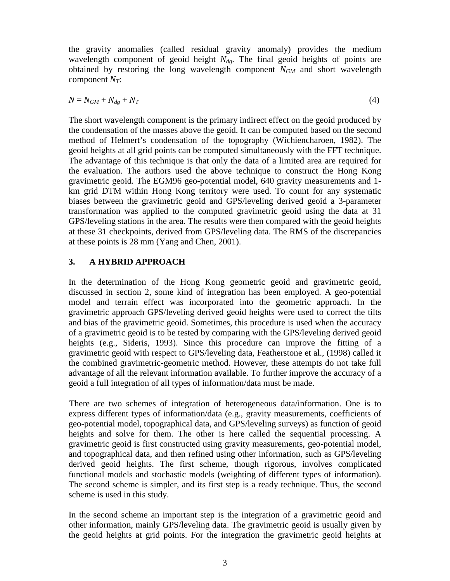the gravity anomalies (called residual gravity anomaly) provides the medium wavelength component of geoid height  $N_{dg}$ . The final geoid heights of points are obtained by restoring the long wavelength component *NGM* and short wavelength component  $N_T$ :

$$
N = N_{GM} + N_{dg} + N_T \tag{4}
$$

The short wavelength component is the primary indirect effect on the geoid produced by the condensation of the masses above the geoid. It can be computed based on the second method of Helmert's condensation of the topography (Wichiencharoen, 1982). The geoid heights at all grid points can be computed simultaneously with the FFT technique. The advantage of this technique is that only the data of a limited area are required for the evaluation. The authors used the above technique to construct the Hong Kong gravimetric geoid. The EGM96 geo-potential model, 640 gravity measurements and 1 km grid DTM within Hong Kong territory were used. To count for any systematic biases between the gravimetric geoid and GPS/leveling derived geoid a 3-parameter transformation was applied to the computed gravimetric geoid using the data at 31 GPS/leveling stations in the area. The results were then compared with the geoid heights at these 31 checkpoints, derived from GPS/leveling data. The RMS of the discrepancies at these points is 28 mm (Yang and Chen, 2001).

## **3. A HYBRID APPROACH**

In the determination of the Hong Kong geometric geoid and gravimetric geoid, discussed in section 2, some kind of integration has been employed. A geo-potential model and terrain effect was incorporated into the geometric approach. In the gravimetric approach GPS/leveling derived geoid heights were used to correct the tilts and bias of the gravimetric geoid. Sometimes, this procedure is used when the accuracy of a gravimetric geoid is to be tested by comparing with the GPS/leveling derived geoid heights (e.g., Sideris, 1993). Since this procedure can improve the fitting of a gravimetric geoid with respect to GPS/leveling data, Featherstone et al., (1998) called it the combined gravimetric-geometric method. However, these attempts do not take full advantage of all the relevant information available. To further improve the accuracy of a geoid a full integration of all types of information/data must be made.

There are two schemes of integration of heterogeneous data/information. One is to express different types of information/data (e.g., gravity measurements, coefficients of geo-potential model, topographical data, and GPS/leveling surveys) as function of geoid heights and solve for them. The other is here called the sequential processing. A gravimetric geoid is first constructed using gravity measurements, geo-potential model, and topographical data, and then refined using other information, such as GPS/leveling derived geoid heights. The first scheme, though rigorous, involves complicated functional models and stochastic models (weighting of different types of information). The second scheme is simpler, and its first step is a ready technique. Thus, the second scheme is used in this study.

In the second scheme an important step is the integration of a gravimetric geoid and other information, mainly GPS/leveling data. The gravimetric geoid is usually given by the geoid heights at grid points. For the integration the gravimetric geoid heights at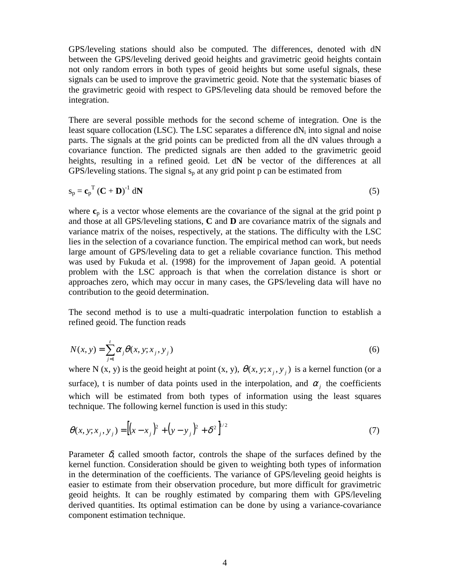GPS/leveling stations should also be computed. The differences, denoted with dN between the GPS/leveling derived geoid heights and gravimetric geoid heights contain not only random errors in both types of geoid heights but some useful signals, these signals can be used to improve the gravimetric geoid. Note that the systematic biases of the gravimetric geoid with respect to GPS/leveling data should be removed before the integration.

There are several possible methods for the second scheme of integration. One is the least square collocation (LSC). The LSC separates a difference  $dN_i$  into signal and noise parts. The signals at the grid points can be predicted from all the dN values through a covariance function. The predicted signals are then added to the gravimetric geoid heights, resulting in a refined geoid. Let d**N** be vector of the differences at all GPS/leveling stations. The signal  $s_p$  at any grid point p can be estimated from

$$
s_p = c_p^T (C + D)^{-1} dN
$$
 (5)

where  $c_p$  is a vector whose elements are the covariance of the signal at the grid point  $p$ and those at all GPS/leveling stations, **C** and **D** are covariance matrix of the signals and variance matrix of the noises, respectively, at the stations. The difficulty with the LSC lies in the selection of a covariance function. The empirical method can work, but needs large amount of GPS/leveling data to get a reliable covariance function. This method was used by Fukuda et al. (1998) for the improvement of Japan geoid. A potential problem with the LSC approach is that when the correlation distance is short or approaches zero, which may occur in many cases, the GPS/leveling data will have no contribution to the geoid determination.

The second method is to use a multi-quadratic interpolation function to establish a refined geoid. The function reads

$$
N(x, y) = \sum_{j=1}^{t} \alpha_j \theta(x, y; x_j, y_j)
$$
 (6)

where N (x, y) is the geoid height at point (x, y),  $\theta(x, y; x_i, y_j)$  is a kernel function (or a surface), t is number of data points used in the interpolation, and  $\alpha_i$  the coefficients which will be estimated from both types of information using the least squares technique. The following kernel function is used in this study:

$$
\theta(x, y; x_j, y_j) = \left[ (x - x_j)^2 + (y - y_j)^2 + \delta^2 \right]^{1/2}
$$
\n(7)

Parameter  $\delta$ , called smooth factor, controls the shape of the surfaces defined by the kernel function. Consideration should be given to weighting both types of information in the determination of the coefficients. The variance of GPS/leveling geoid heights is easier to estimate from their observation procedure, but more difficult for gravimetric geoid heights. It can be roughly estimated by comparing them with GPS/leveling derived quantities. Its optimal estimation can be done by using a variance-covariance component estimation technique.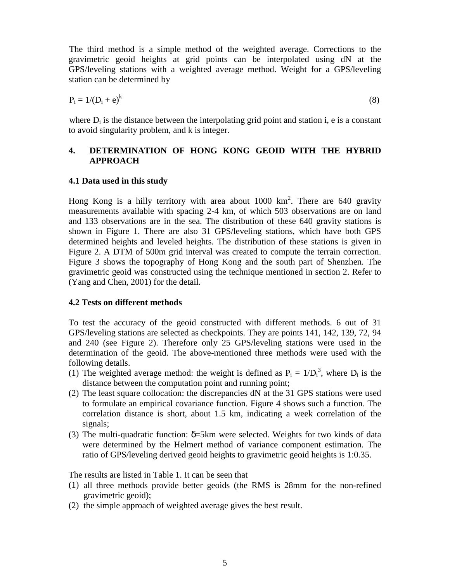The third method is a simple method of the weighted average. Corrections to the gravimetric geoid heights at grid points can be interpolated using dN at the GPS/leveling stations with a weighted average method. Weight for a GPS/leveling station can be determined by

$$
P_i = 1/(D_i + e)^k \tag{8}
$$

where  $D_i$  is the distance between the interpolating grid point and station i, e is a constant to avoid singularity problem, and k is integer.

# **4. DETERMINATION OF HONG KONG GEOID WITH THE HYBRID APPROACH**

## **4.1 Data used in this study**

Hong Kong is a hilly territory with area about  $1000 \text{ km}^2$ . There are 640 gravity measurements available with spacing 2-4 km, of which 503 observations are on land and 133 observations are in the sea. The distribution of these 640 gravity stations is shown in Figure 1. There are also 31 GPS/leveling stations, which have both GPS determined heights and leveled heights. The distribution of these stations is given in Figure 2. A DTM of 500m grid interval was created to compute the terrain correction. Figure 3 shows the topography of Hong Kong and the south part of Shenzhen. The gravimetric geoid was constructed using the technique mentioned in section 2. Refer to (Yang and Chen, 2001) for the detail.

# **4.2 Tests on different methods**

To test the accuracy of the geoid constructed with different methods. 6 out of 31 GPS/leveling stations are selected as checkpoints. They are points 141, 142, 139, 72, 94 and 240 (see Figure 2). Therefore only 25 GPS/leveling stations were used in the determination of the geoid. The above-mentioned three methods were used with the following details.

- (1) The weighted average method: the weight is defined as  $P_i = 1/D_i^3$ , where  $D_i$  is the distance between the computation point and running point;
- (2) The least square collocation: the discrepancies dN at the 31 GPS stations were used to formulate an empirical covariance function. Figure 4 shows such a function. The correlation distance is short, about 1.5 km, indicating a week correlation of the signals;
- (3) The multi-quadratic function:  $\delta$ =5km were selected. Weights for two kinds of data were determined by the Helmert method of variance component estimation. The ratio of GPS/leveling derived geoid heights to gravimetric geoid heights is 1:0.35.

The results are listed in Table 1. It can be seen that

- (1) all three methods provide better geoids (the RMS is 28mm for the non-refined gravimetric geoid);
- (2) the simple approach of weighted average gives the best result.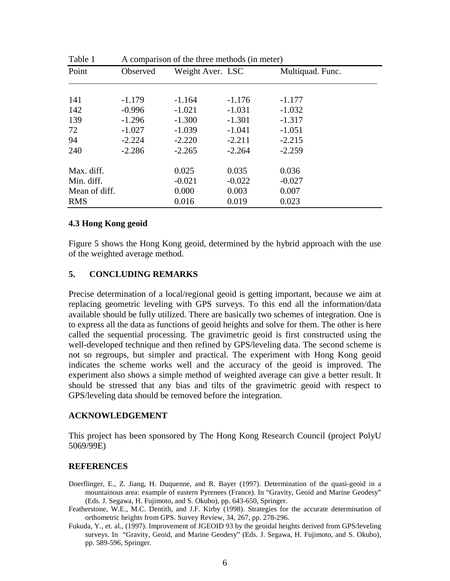| Table 1       | A comparison of the three methods (in meter) |                      |                      |                      |  |
|---------------|----------------------------------------------|----------------------|----------------------|----------------------|--|
| Point         | Observed                                     | Weight Aver. LSC     |                      | Multiquad. Func.     |  |
|               |                                              |                      |                      |                      |  |
| 141<br>142    | $-1.179$<br>$-0.996$                         | $-1.164$<br>$-1.021$ | $-1.176$<br>$-1.031$ | $-1.177$<br>$-1.032$ |  |
| 139           | $-1.296$                                     | $-1.300$             | $-1.301$             | $-1.317$             |  |
| 72            | $-1.027$                                     | $-1.039$             | $-1.041$             | $-1.051$             |  |
| 94            | $-2.224$                                     | $-2.220$             | $-2.211$             | $-2.215$             |  |
| 240           | $-2.286$                                     | $-2.265$             | $-2.264$             | $-2.259$             |  |
| Max. diff.    |                                              | 0.025                | 0.035                | 0.036                |  |
| Min. diff.    |                                              | $-0.021$             | $-0.022$             | $-0.027$             |  |
| Mean of diff. |                                              | 0.000                | 0.003                | 0.007                |  |
| <b>RMS</b>    |                                              | 0.016                | 0.019                | 0.023                |  |

### **4.3 Hong Kong geoid**

Figure 5 shows the Hong Kong geoid, determined by the hybrid approach with the use of the weighted average method.

### **5. CONCLUDING REMARKS**

Precise determination of a local/regional geoid is getting important, because we aim at replacing geometric leveling with GPS surveys. To this end all the information/data available should be fully utilized. There are basically two schemes of integration. One is to express all the data as functions of geoid heights and solve for them. The other is here called the sequential processing. The gravimetric geoid is first constructed using the well-developed technique and then refined by GPS/leveling data. The second scheme is not so regroups, but simpler and practical. The experiment with Hong Kong geoid indicates the scheme works well and the accuracy of the geoid is improved. The experiment also shows a simple method of weighted average can give a better result. It should be stressed that any bias and tilts of the gravimetric geoid with respect to GPS/leveling data should be removed before the integration.

### **ACKNOWLEDGEMENT**

This project has been sponsored by The Hong Kong Research Council (project PolyU 5069/99E)

#### **REFERENCES**

- Doerflinger, E., Z. Jiang, H. Duquenne, and R. Bayer (1997). Determination of the quasi-geoid in a mountainous area: example of eastern Pyrenees (France). In "Gravity, Geoid and Marine Geodesy" (Eds. J. Segawa, H. Fujimoto, and S. Okubo), pp. 643-650, Springer.
- Featherstone, W.E., M.C. Dentith, and J.F. Kirby (1998). Strategies for the accurate determination of orthometric heights from GPS. Survey Review, 34, 267, pp. 278-296.
- Fukuda, Y., et. al., (1997). Improvement of JGEOID 93 by the geoidal heights derived from GPS/leveling surveys. In "Gravity, Geoid, and Marine Geodesy" (Eds. J. Segawa, H. Fujimoto, and S. Okubo), pp. 589-596, Springer.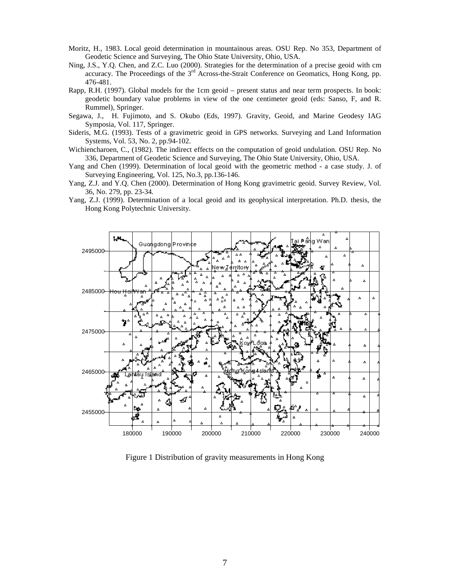- Moritz, H., 1983. Local geoid determination in mountainous areas. OSU Rep. No 353, Department of Geodetic Science and Surveying, The Ohio State University, Ohio, USA.
- Ning, J.S., Y.Q. Chen, and Z.C. Luo (2000). Strategies for the determination of a precise geoid with cm accuracy. The Proceedings of the 3<sup>rd</sup> Across-the-Strait Conference on Geomatics, Hong Kong, pp. 476-481.
- Rapp, R.H. (1997). Global models for the 1cm geoid present status and near term prospects. In book: geodetic boundary value problems in view of the one centimeter geoid (eds: Sanso, F, and R. Rummel), Springer.
- Segawa, J., H. Fujimoto, and S. Okubo (Eds, 1997). Gravity, Geoid, and Marine Geodesy IAG Symposia, Vol. 117, Springer.
- Sideris, M.G. (1993). Tests of a gravimetric geoid in GPS networks. Surveying and Land Information Systems, Vol. 53, No. 2, pp.94-102.
- Wichiencharoen, C., (1982). The indirect effects on the computation of geoid undulation. OSU Rep. No 336, Department of Geodetic Science and Surveying, The Ohio State University, Ohio, USA.
- Yang and Chen (1999). Determination of local geoid with the geometric method a case study. J. of Surveying Engineering, Vol. 125, No.3, pp.136-146.
- Yang, Z.J. and Y.Q. Chen (2000). Determination of Hong Kong gravimetric geoid. Survey Review, Vol. 36, No. 279, pp. 23-34.
- Yang, Z.J. (1999). Determination of a local geoid and its geophysical interpretation. Ph.D. thesis, the Hong Kong Polytechnic University.



Figure 1 Distribution of gravity measurements in Hong Kong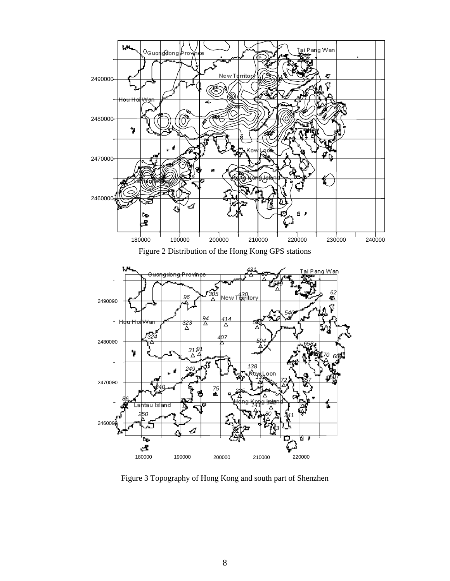





Figure 3 Topography of Hong Kong and south part of Shenzhen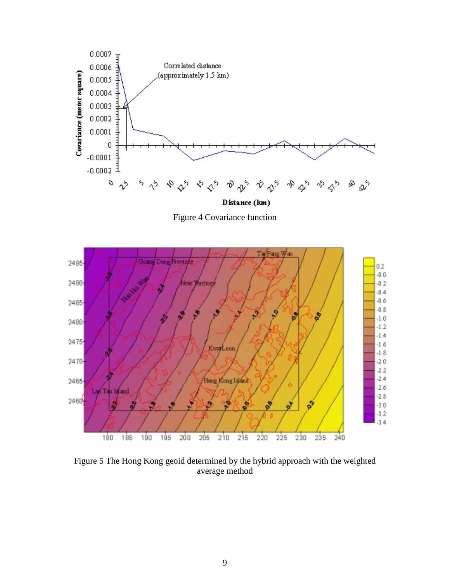

Figure 4 Covariance function



Figure 5 The Hong Kong geoid determined by the hybrid approach with the weighted average method